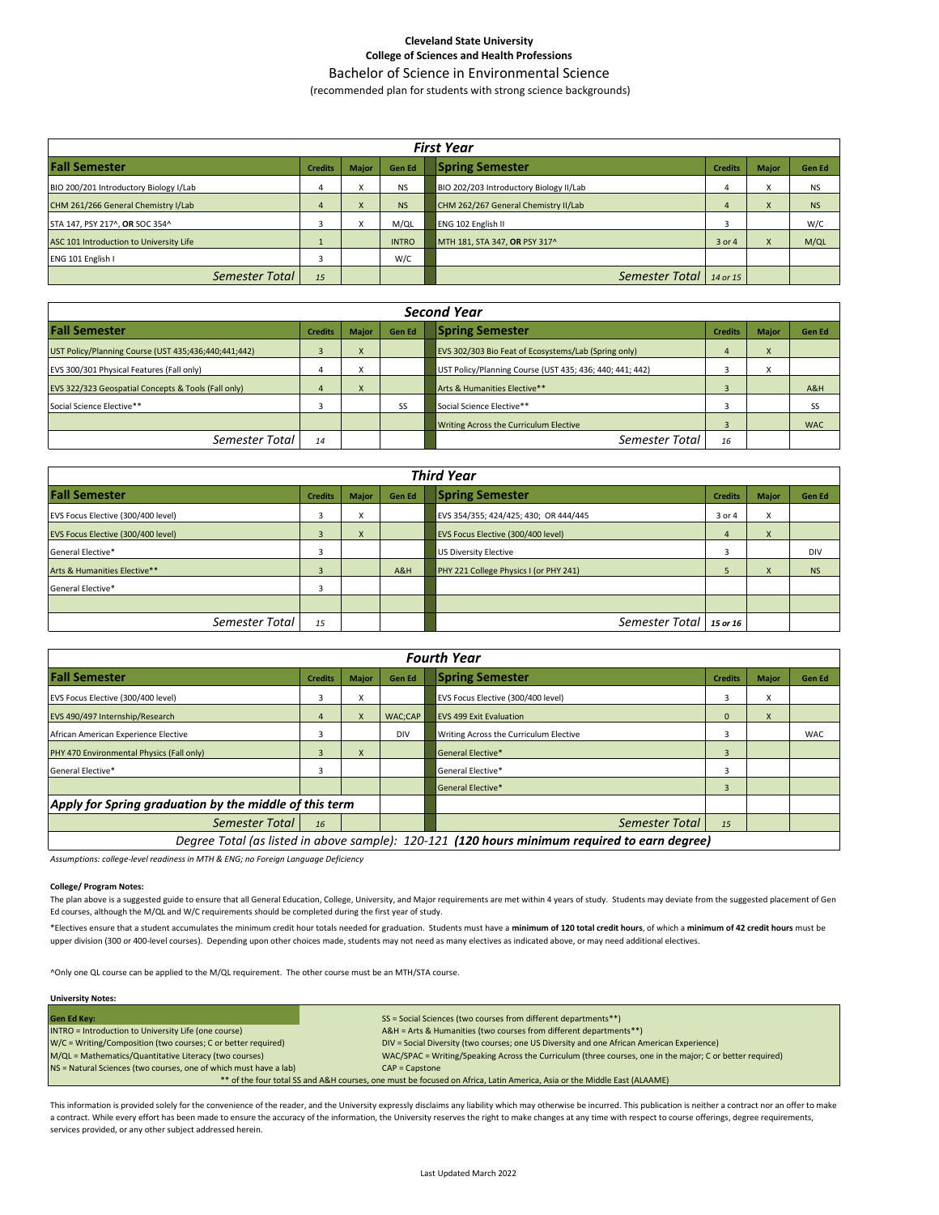## **Cleveland State University College of Sciences and Health Professions**

Bachelor of Science in Environmental Science

(recommended plan for students with strong science backgrounds)

| <b>First Year</b>                       |    |           |               |                                         |                |              |               |  |  |
|-----------------------------------------|----|-----------|---------------|-----------------------------------------|----------------|--------------|---------------|--|--|
| <b>Fall Semester</b>                    |    | Major     | <b>Gen Ed</b> | <b>Spring Semester</b>                  | <b>Credits</b> | <b>Major</b> | <b>Gen Ed</b> |  |  |
| BIO 200/201 Introductory Biology I/Lab  |    |           | <b>NS</b>     | BIO 202/203 Introductory Biology II/Lab |                | x            | <b>NS</b>     |  |  |
| CHM 261/266 General Chemistry I/Lab     |    | $\lambda$ | <b>NS</b>     | CHM 262/267 General Chemistry II/Lab    |                | X            | <b>NS</b>     |  |  |
| STA 147, PSY 217^, OR SOC 354^          |    |           | M/QL          | <b>ENG 102 English II</b>               |                |              | W/C           |  |  |
| ASC 101 Introduction to University Life |    |           | <b>INTRO</b>  | MTH 181, STA 347, OR PSY 317^           | 3 or 4         | x            | M/QL          |  |  |
| ENG 101 English I                       |    |           | W/C           |                                         |                |              |               |  |  |
| Semester Total                          | 15 |           |               | Semester Total                          | 14 or 15       |              |               |  |  |

| <b>Second Year</b>                                   |                |              |               |                                                          |                |                        |               |  |  |
|------------------------------------------------------|----------------|--------------|---------------|----------------------------------------------------------|----------------|------------------------|---------------|--|--|
| <b>Fall Semester</b>                                 | <b>Credits</b> | <b>Major</b> | <b>Gen Ed</b> | <b>Spring Semester</b>                                   | <b>Credits</b> | <b>Major</b>           | <b>Gen Ed</b> |  |  |
| UST Policy/Planning Course (UST 435;436;440;441;442) |                |              |               | EVS 302/303 Bio Feat of Ecosystems/Lab (Spring only)     |                | $\boldsymbol{\lambda}$ |               |  |  |
| EVS 300/301 Physical Features (Fall only)            |                |              |               | UST Policy/Planning Course (UST 435; 436; 440; 441; 442) |                | $\lambda$              |               |  |  |
| EVS 322/323 Geospatial Concepts & Tools (Fall only)  |                | $\mathbf{A}$ |               | Arts & Humanities Elective**                             |                |                        | A&H           |  |  |
| Social Science Elective**                            |                |              | SS            | Social Science Elective**                                |                |                        | SS            |  |  |
|                                                      |                |              |               | Writing Across the Curriculum Elective                   |                |                        | <b>WAC</b>    |  |  |
| Semester Total                                       | 14             |              |               | Semester Total                                           | 16             |                        |               |  |  |

| <b>Third Year</b>                  |                |                              |               |                                        |                |              |               |  |  |  |
|------------------------------------|----------------|------------------------------|---------------|----------------------------------------|----------------|--------------|---------------|--|--|--|
| <b>Fall Semester</b>               |                | <b>Major</b>                 | <b>Gen Ed</b> | <b>Spring Semester</b>                 | <b>Credits</b> | <b>Major</b> | <b>Gen Ed</b> |  |  |  |
| EVS Focus Elective (300/400 level) |                | $\overline{\mathbf{v}}$<br>Λ |               | EVS 354/355; 424/425; 430; OR 444/445  | 3 or 4         | x            |               |  |  |  |
| EVS Focus Elective (300/400 level) | к              | $\mathbf{v}$<br>$\lambda$    |               | EVS Focus Elective (300/400 level)     | 4              | X            |               |  |  |  |
| General Elective*                  |                |                              |               | <b>US Diversity Elective</b>           |                |              | <b>DIV</b>    |  |  |  |
| Arts & Humanities Elective**       | $\overline{3}$ |                              | A&H           | PHY 221 College Physics I (or PHY 241) | 5              | X            | <b>NS</b>     |  |  |  |
| General Elective*                  |                |                              |               |                                        |                |              |               |  |  |  |
|                                    |                |                              |               |                                        |                |              |               |  |  |  |
| Semester Total                     | 15             |                              |               | Semester Total                         | 15 or 16       |              |               |  |  |  |

| <b>Fourth Year</b>                                     |                                                                                               |                           |                |                                        |                |              |               |  |  |  |
|--------------------------------------------------------|-----------------------------------------------------------------------------------------------|---------------------------|----------------|----------------------------------------|----------------|--------------|---------------|--|--|--|
| <b>Fall Semester</b><br><b>Credits</b>                 |                                                                                               | <b>Major</b>              | <b>Gen Ed</b>  | <b>Spring Semester</b>                 | <b>Credits</b> | <b>Major</b> | <b>Gen Ed</b> |  |  |  |
| EVS Focus Elective (300/400 level)                     |                                                                                               | $\checkmark$<br>л         |                | EVS Focus Elective (300/400 level)     | 3              | x            |               |  |  |  |
| EVS 490/497 Internship/Research                        | 4                                                                                             | $\boldsymbol{\mathsf{x}}$ | WAC:CAP        | <b>EVS 499 Exit Evaluation</b>         | $\Omega$       | X            |               |  |  |  |
| African American Experience Elective                   | 3                                                                                             |                           | <b>DIV</b>     | Writing Across the Curriculum Elective | 3              |              | <b>WAC</b>    |  |  |  |
| PHY 470 Environmental Physics (Fall only)              | 3                                                                                             | $\boldsymbol{\mathsf{x}}$ |                | General Elective*                      | 3              |              |               |  |  |  |
| General Elective*                                      |                                                                                               |                           |                | General Elective*                      | 3              |              |               |  |  |  |
|                                                        |                                                                                               |                           |                | General Elective*                      | 3              |              |               |  |  |  |
| Apply for Spring graduation by the middle of this term |                                                                                               |                           |                |                                        |                |              |               |  |  |  |
| Semester Total<br>16                                   |                                                                                               |                           | Semester Total | 15                                     |                |              |               |  |  |  |
|                                                        | Degree Total (as listed in above sample): 120-121 (120 hours minimum required to earn degree) |                           |                |                                        |                |              |               |  |  |  |

*Assumptions: college-level readiness in MTH & ENG; no Foreign Language Deficiency*

#### **College/ Program Notes:**

The plan above is a suggested guide to ensure that all General Education, College, University, and Major requirements are met within 4 years of study. Students may deviate from the suggested placement of Gen Ed courses, although the M/QL and W/C requirements should be completed during the first year of study.

\*Electives ensure that a student accumulates the minimum credit hour totals needed for graduation. Students must have a **minimum of 120 total credit hours**, of which a **minimum of 42 credit hours** must be upper division (300 or 400-level courses). Depending upon other choices made, students may not need as many electives as indicated above, or may need additional electives.

^Only one QL course can be applied to the M/QL requirement. The other course must be an MTH/STA course.

| <b>University Notes:</b>                                                                                                |                                                                                                           |  |  |  |  |  |  |
|-------------------------------------------------------------------------------------------------------------------------|-----------------------------------------------------------------------------------------------------------|--|--|--|--|--|--|
| <b>Gen Ed Kev:</b>                                                                                                      | SS = Social Sciences (two courses from different departments**)                                           |  |  |  |  |  |  |
| INTRO = Introduction to University Life (one course)                                                                    | A&H = Arts & Humanities (two courses from different departments**)                                        |  |  |  |  |  |  |
| W/C = Writing/Composition (two courses; C or better required)                                                           | DIV = Social Diversity (two courses; one US Diversity and one African American Experience)                |  |  |  |  |  |  |
| M/QL = Mathematics/Quantitative Literacy (two courses)                                                                  | WAC/SPAC = Writing/Speaking Across the Curriculum (three courses, one in the major; C or better required) |  |  |  |  |  |  |
| NS = Natural Sciences (two courses, one of which must have a lab)                                                       | $CAP = \text{Capstone}$                                                                                   |  |  |  |  |  |  |
| ** of the four total SS and A&H courses, one must be focused on Africa, Latin America, Asia or the Middle East (ALAAME) |                                                                                                           |  |  |  |  |  |  |

This information is provided solely for the convenience of the reader, and the University expressly disclaims any liability which may otherwise be incurred. This publication is neither a contract nor an offer to make a contract. While every effort has been made to ensure the accuracy of the information, the University reserves the right to make changes at any time with respect to course offerings, degree requirements, services provided, or any other subject addressed herein.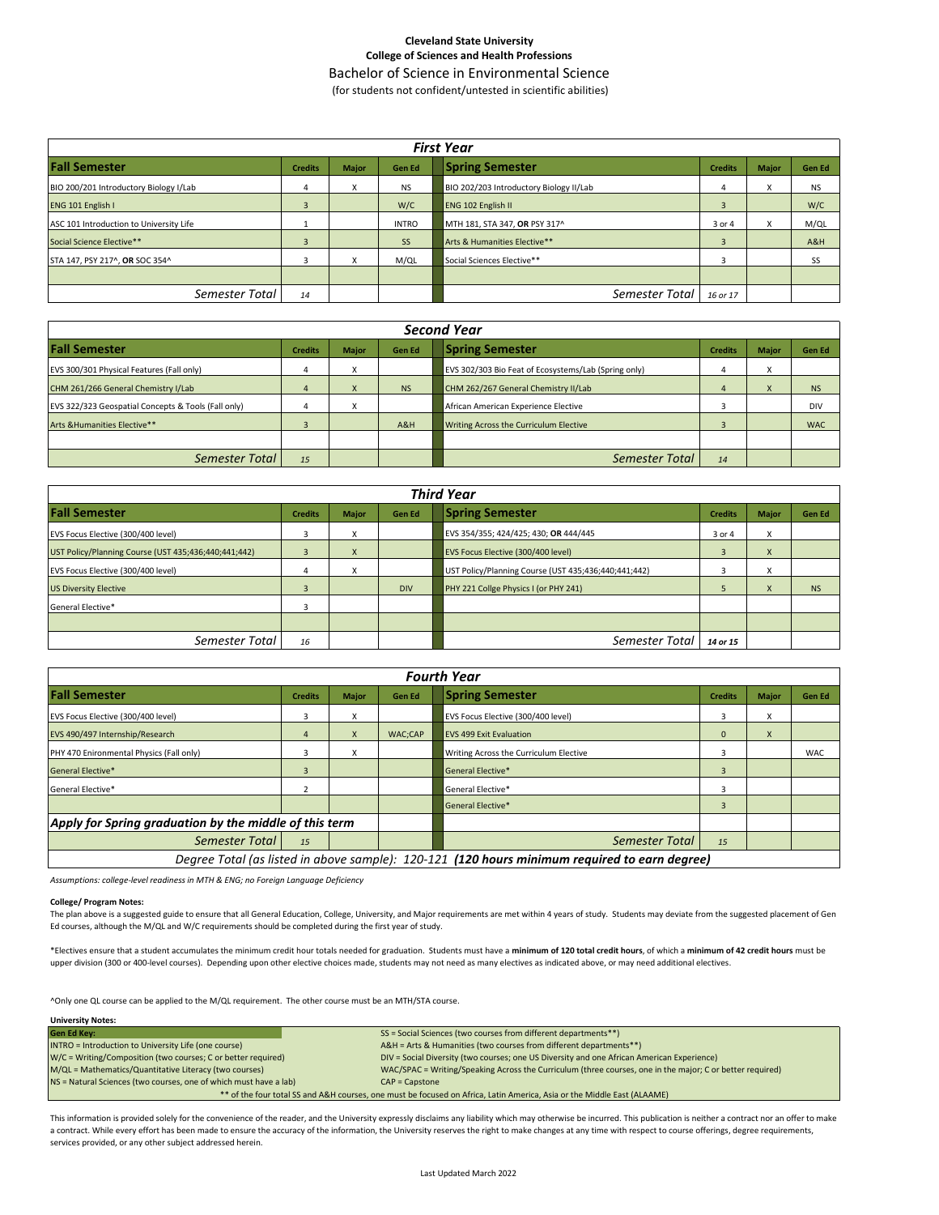## **Cleveland State University College of Sciences and Health Professions**

Bachelor of Science in Environmental Science

(for students not confident/untested in scientific abilities)

| <b>First Year</b>                       |                |              |              |                                         |                |              |               |  |  |
|-----------------------------------------|----------------|--------------|--------------|-----------------------------------------|----------------|--------------|---------------|--|--|
| <b>Fall Semester</b>                    | <b>Credits</b> | <b>Major</b> | Gen Ed       | <b>Spring Semester</b>                  | <b>Credits</b> | <b>Major</b> | <b>Gen Ed</b> |  |  |
| BIO 200/201 Introductory Biology I/Lab  | 4              | X            | <b>NS</b>    | BIO 202/203 Introductory Biology II/Lab | 4              | X            | <b>NS</b>     |  |  |
| ENG 101 English I                       | 3              |              | W/C          | ENG 102 English II                      | 3              |              | W/C           |  |  |
| ASC 101 Introduction to University Life |                |              | <b>INTRO</b> | MTH 181, STA 347, OR PSY 317^           | 3 or 4         | X            | M/QL          |  |  |
| Social Science Elective**               | 3              |              | SS           | Arts & Humanities Elective**            |                |              | A&H           |  |  |
| STA 147, PSY 217^, OR SOC 354^          | 3              | X            | M/QL         | Social Sciences Elective**              |                |              | SS            |  |  |
|                                         |                |              |              |                                         |                |              |               |  |  |
| Semester Total                          | 14             |              |              | Semester Total                          | 16 or 17       |              |               |  |  |

| <b>Second Year</b>                                  |                |              |               |                                                      |                |                                      |               |  |  |
|-----------------------------------------------------|----------------|--------------|---------------|------------------------------------------------------|----------------|--------------------------------------|---------------|--|--|
| <b>Fall Semester</b>                                | <b>Credits</b> | <b>Major</b> | <b>Gen Ed</b> | <b>Spring Semester</b>                               | <b>Credits</b> | <b>Major</b>                         | <b>Gen Ed</b> |  |  |
| EVS 300/301 Physical Features (Fall only)           | 4              | $\lambda$    |               | EVS 302/303 Bio Feat of Ecosystems/Lab (Spring only) |                | $\overline{\mathbf{v}}$<br>$\lambda$ |               |  |  |
| CHM 261/266 General Chemistry I/Lab                 | 4              | $\Lambda$    | <b>NS</b>     | CHM 262/267 General Chemistry II/Lab                 |                | $\mathbf{v}$<br>$\lambda$            | <b>NS</b>     |  |  |
| EVS 322/323 Geospatial Concepts & Tools (Fall only) |                | $\lambda$    |               | African American Experience Elective                 |                |                                      | DIV           |  |  |
| Arts & Humanities Elective**                        |                |              | A&H           | Writing Across the Curriculum Elective               |                |                                      | <b>WAC</b>    |  |  |
|                                                     |                |              |               |                                                      |                |                                      |               |  |  |
| Semester Total                                      | 15             |              |               | Semester Total                                       | 14             |                                      |               |  |  |

| <b>Third Year</b>                                    |                |                   |            |                                                      |                |                              |           |  |  |
|------------------------------------------------------|----------------|-------------------|------------|------------------------------------------------------|----------------|------------------------------|-----------|--|--|
| <b>Fall Semester</b>                                 | <b>Credits</b> | <b>Major</b>      | Gen Ed     | <b>Spring Semester</b>                               | <b>Credits</b> | <b>Major</b>                 | Gen Ed    |  |  |
| EVS Focus Elective (300/400 level)                   |                |                   |            | EVS 354/355; 424/425; 430; OR 444/445                | 3 or 4         | X                            |           |  |  |
| UST Policy/Planning Course (UST 435;436;440;441;442) | в              | X                 |            | EVS Focus Elective (300/400 level)                   | 3              | X                            |           |  |  |
| EVS Focus Elective (300/400 level)                   | 4              | $\mathbf{v}$<br>v |            | UST Policy/Planning Course (UST 435;436;440;441;442) |                | $\overline{\mathbf{v}}$<br>v |           |  |  |
| <b>US Diversity Elective</b>                         |                |                   | <b>DIV</b> | PHY 221 Collge Physics I (or PHY 241)                |                | X                            | <b>NS</b> |  |  |
| General Elective*                                    |                |                   |            |                                                      |                |                              |           |  |  |
|                                                      |                |                   |            |                                                      |                |                              |           |  |  |
| Semester Total                                       | 16             |                   |            | Semester Total                                       | 14 or 15       |                              |           |  |  |

| <b>Fourth Year</b>                                     |                |              |         |                                                                                               |                |              |            |  |  |  |
|--------------------------------------------------------|----------------|--------------|---------|-----------------------------------------------------------------------------------------------|----------------|--------------|------------|--|--|--|
| <b>Fall Semester</b>                                   | <b>Credits</b> | <b>Major</b> | Gen Ed  | <b>Spring Semester</b>                                                                        | <b>Credits</b> | <b>Major</b> | Gen Ed     |  |  |  |
| EVS Focus Elective (300/400 level)                     | 3              | x            |         | EVS Focus Elective (300/400 level)                                                            |                | X            |            |  |  |  |
| EVS 490/497 Internship/Research                        | 4              | X            | WAC;CAP | <b>EVS 499 Exit Evaluation</b>                                                                | $\mathbf{0}$   | $\mathsf{x}$ |            |  |  |  |
| PHY 470 Enironmental Physics (Fall only)               | 3              | X            |         | Writing Across the Curriculum Elective                                                        |                |              | <b>WAC</b> |  |  |  |
| <b>General Elective*</b>                               |                |              |         | <b>General Elective*</b>                                                                      |                |              |            |  |  |  |
| General Elective*                                      |                |              |         | <b>General Elective*</b>                                                                      |                |              |            |  |  |  |
|                                                        |                |              |         | <b>General Elective*</b>                                                                      | 3              |              |            |  |  |  |
| Apply for Spring graduation by the middle of this term |                |              |         |                                                                                               |                |              |            |  |  |  |
| Semester Total                                         | 15             |              |         | Semester Total                                                                                | 15             |              |            |  |  |  |
|                                                        |                |              |         | Degree Total (as listed in above sample): 120-121 (120 hours minimum required to earn degree) |                |              |            |  |  |  |

*Assumptions: college-level readiness in MTH & ENG; no Foreign Language Deficiency*

#### **College/ Program Notes:**

The plan above is a suggested guide to ensure that all General Education, College, University, and Major requirements are met within 4 years of study. Students may deviate from the suggested placement of Gen Ed courses, although the M/QL and W/C requirements should be completed during the first year of study.

\*Electives ensure that a student accumulates the minimum credit hour totals needed for graduation. Students must have a **minimum of 120 total credit hours**, of which a **minimum of 42 credit hours** must be upper division (300 or 400-level courses). Depending upon other elective choices made, students may not need as many electives as indicated above, or may need additional electives.

^Only one QL course can be applied to the M/QL requirement. The other course must be an MTH/STA course.

| <b>University Notes:</b> |  |
|--------------------------|--|
|                          |  |

| <b>Gen Ed Key:</b>                                                                                                      | SS = Social Sciences (two courses from different departments**)                                           |  |  |  |  |  |  |
|-------------------------------------------------------------------------------------------------------------------------|-----------------------------------------------------------------------------------------------------------|--|--|--|--|--|--|
| INTRO = Introduction to University Life (one course)                                                                    | A&H = Arts & Humanities (two courses from different departments**)                                        |  |  |  |  |  |  |
| W/C = Writing/Composition (two courses; C or better required)                                                           | DIV = Social Diversity (two courses; one US Diversity and one African American Experience)                |  |  |  |  |  |  |
| M/QL = Mathematics/Quantitative Literacy (two courses)                                                                  | WAC/SPAC = Writing/Speaking Across the Curriculum (three courses, one in the major; C or better required) |  |  |  |  |  |  |
| NS = Natural Sciences (two courses, one of which must have a lab)<br>$CAP = \text{C}$                                   |                                                                                                           |  |  |  |  |  |  |
| ** of the four total SS and A&H courses, one must be focused on Africa, Latin America, Asia or the Middle East (ALAAME) |                                                                                                           |  |  |  |  |  |  |

This information is provided solely for the convenience of the reader, and the University expressly disclaims any liability which may otherwise be incurred. This publication is neither a contract nor an offer to make a contract. While every effort has been made to ensure the accuracy of the information, the University reserves the right to make changes at any time with respect to course offerings, degree requirements, services provided, or any other subject addressed herein.